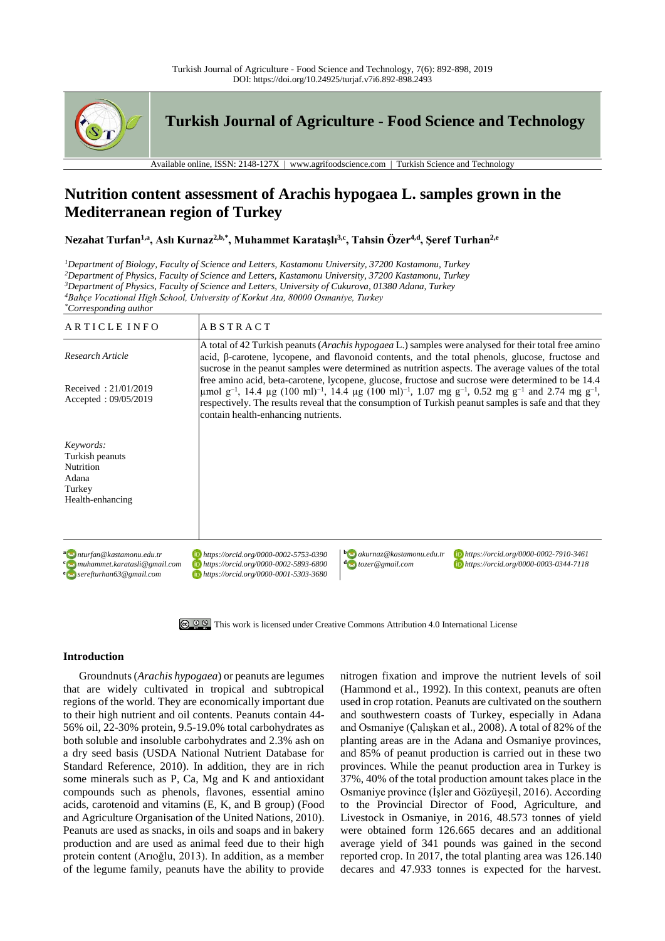

**Turkish Journal of Agriculture - Food Science and Technology**

Available online, ISSN: 2148-127X | www.agrifoodscience.com | Turkish Science and Technology

# **Nutrition content assessment of Arachis hypogaea L. samples grown in the Mediterranean region of Turkey**

**Nezahat Turfan1,a, Aslı Kurnaz2,b,\*, Muhammet Karataşlı3,c, Tahsin Özer4,d, Şeref Turhan2,e**

*<sup>1</sup>Department of Biology, Faculty of Science and Letters, Kastamonu University, 37200 Kastamonu, Turkey <sup>2</sup>Department of Physics, Faculty of Science and Letters, Kastamonu University, 37200 Kastamonu, Turkey <sup>3</sup>Department of Physics, Faculty of Science and Letters, University of Cukurova, 01380 Adana, Turkey*

*<sup>4</sup>Bahçe Vocational High School, University of Korkut Ata, 80000 Osmaniye, Turkey*

*\*Corresponding author*

| ARTICLE INFO                                                                                                     | <b>ABSTRACT</b>                                                                                                                                                                                                                                                                                                                                                                                                                |  |  |  |
|------------------------------------------------------------------------------------------------------------------|--------------------------------------------------------------------------------------------------------------------------------------------------------------------------------------------------------------------------------------------------------------------------------------------------------------------------------------------------------------------------------------------------------------------------------|--|--|--|
| Research Article                                                                                                 | A total of 42 Turkish peanuts ( <i>Arachis hypogaea</i> L.) samples were analysed for their total free amino<br>acid, B-carotene, lycopene, and flavonoid contents, and the total phenols, glucose, fructose and<br>sucrose in the peanut samples were determined as nutrition aspects. The average values of the total                                                                                                        |  |  |  |
| Received: $21/01/2019$<br>Accepted: $09/05/2019$                                                                 | free amino acid, beta-carotene, lycopene, glucose, fructose and sucrose were determined to be 14.4<br>μmol g <sup>-1</sup> , 14.4 μg (100 ml) <sup>-1</sup> , 14.4 μg (100 ml) <sup>-1</sup> , 1.07 mg g <sup>-1</sup> , 0.52 mg g <sup>-1</sup> and 2.74 mg g <sup>-1</sup> ,<br>respectively. The results reveal that the consumption of Turkish peanut samples is safe and that they<br>contain health-enhancing nutrients. |  |  |  |
| Keywords:<br>Turkish peanuts<br><b>Nutrition</b><br>Adana<br>Turkey<br>Health-enhancing                          |                                                                                                                                                                                                                                                                                                                                                                                                                                |  |  |  |
| a inturfan@kastamonu.edu.tr<br>com muhammet.karatasli@gmail.com<br>$\blacktriangleright$ serefturhan63@gmail.com | <b>b</b> akurnaz@kastamonu.edu.tr<br>https://orcid.org/0000-0002-7910-3461<br>https://orcid.org/0000-0002-5753-0390<br>https://orcid.org/0000-0002-5893-6800<br>$d_{\text{C}}$ tozer@gmail.com<br>https://orcid.org/0000-0003-0344-7118<br>https://orcid.org/0000-0001-5303-3680                                                                                                                                               |  |  |  |



## **Introduction**

Groundnuts (*Arachis hypogaea*) or peanuts are legumes that are widely cultivated in tropical and subtropical regions of the world. They are economically important due to their high nutrient and oil contents. Peanuts contain 44- 56% oil, 22-30% protein, 9.5-19.0% total carbohydrates as both soluble and insoluble carbohydrates and 2.3% ash on a dry seed basis (USDA National Nutrient Database for Standard Reference, 2010). In addition, they are in rich some minerals such as P, Ca, Mg and K and antioxidant compounds such as phenols, flavones, essential amino acids, carotenoid and vitamins (E, K, and B group) (Food and Agriculture Organisation of the United Nations, 2010). Peanuts are used as snacks, in oils and soaps and in bakery production and are used as animal feed due to their high protein content (Arıoğlu, 2013). In addition, as a member of the legume family, peanuts have the ability to provide

nitrogen fixation and improve the nutrient levels of soil (Hammond et al., 1992). In this context, peanuts are often used in crop rotation. Peanuts are cultivated on the southern and southwestern coasts of Turkey, especially in Adana and Osmaniye (Çalışkan et al., 2008). A total of 82% of the planting areas are in the Adana and Osmaniye provinces, and 85% of peanut production is carried out in these two provinces. While the peanut production area in Turkey is 37%, 40% of the total production amount takes place in the Osmaniye province (İşler and Gözüyeşil, 2016). According to the Provincial Director of Food, Agriculture, and Livestock in Osmaniye, in 2016, 48.573 tonnes of yield were obtained form 126.665 decares and an additional average yield of 341 pounds was gained in the second reported crop. In 2017, the total planting area was 126.140 decares and 47.933 tonnes is expected for the harvest.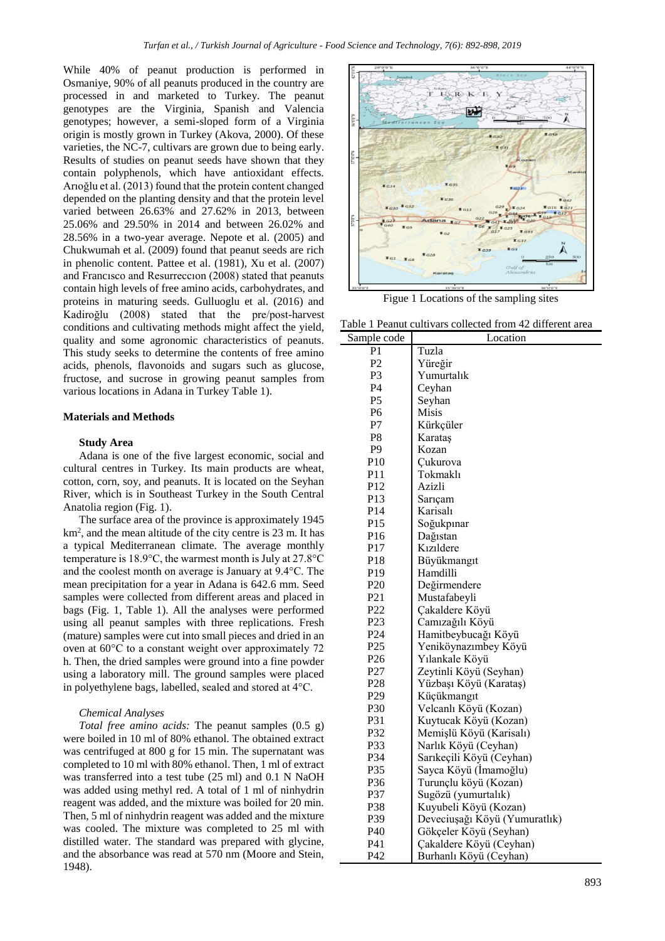While 40% of peanut production is performed in Osmaniye, 90% of all peanuts produced in the country are processed in and marketed to Turkey. The peanut genotypes are the Virginia, Spanish and Valencia genotypes; however, a semi-sloped form of a Virginia origin is mostly grown in Turkey (Akova, 2000). Of these varieties, the NC-7, cultivars are grown due to being early. Results of studies on peanut seeds have shown that they contain polyphenols, which have antioxidant effects. Arıoğlu et al. (2013) found that the protein content changed depended on the planting density and that the protein level varied between 26.63% and 27.62% in 2013, between 25.06% and 29.50% in 2014 and between 26.02% and 28.56% in a two-year average. Nepote et al. (2005) and Chukwumah et al. (2009) found that peanut seeds are rich in phenolic content. Pattee et al. (1981), Xu et al. (2007) and Francısco and Resurreccıon (2008) stated that peanuts contain high levels of free amino acids, carbohydrates, and proteins in maturing seeds. Gulluoglu et al. (2016) and Kadiroğlu (2008) stated that the pre/post-harvest conditions and cultivating methods might affect the yield, quality and some agronomic characteristics of peanuts. This study seeks to determine the contents of free amino acids, phenols, flavonoids and sugars such as glucose, fructose, and sucrose in growing peanut samples from various locations in Adana in Turkey Table 1).

#### **Materials and Methods**

#### **Study Area**

Adana is one of the five largest economic, social and cultural centres in Turkey. Its main products are wheat, cotton, corn, soy, and peanuts. It is located on the Seyhan River, which is in Southeast Turkey in the South Central Anatolia region (Fig. 1).

The surface area of the province is approximately 1945 km<sup>2</sup>, and the mean altitude of the city centre is 23 m. It has a typical Mediterranean climate. The average monthly temperature is 18.9°C, the warmest month is July at 27.8°C and the coolest month on average is January at 9.4°C. The mean precipitation for a year in Adana is 642.6 mm. Seed samples were collected from different areas and placed in bags (Fig. 1, Table 1). All the analyses were performed using all peanut samples with three replications. Fresh (mature) samples were cut into small pieces and dried in an oven at 60°C to a constant weight over approximately 72 h. Then, the dried samples were ground into a fine powder using a laboratory mill. The ground samples were placed in polyethylene bags, labelled, sealed and stored at 4°C.

### *Chemical Analyses*

*Total free amino acids:* The peanut samples (0.5 g) were boiled in 10 ml of 80% ethanol. The obtained extract was centrifuged at 800 g for 15 min. The supernatant was completed to 10 ml with 80% ethanol. Then, 1 ml of extract was transferred into a test tube (25 ml) and 0.1 N NaOH was added using methyl red. A total of 1 ml of ninhydrin reagent was added, and the mixture was boiled for 20 min. Then, 5 ml of ninhydrin reagent was added and the mixture was cooled. The mixture was completed to 25 ml with distilled water. The standard was prepared with glycine, and the absorbance was read at 570 nm (Moore and Stein, 1948).



Figue 1 Locations of the sampling sites

Table 1 Peanut cultivars collected from 42 different area

| Sample code     | Location                      |  |  |
|-----------------|-------------------------------|--|--|
| P <sub>1</sub>  | Tuzla                         |  |  |
| P <sub>2</sub>  |                               |  |  |
| P <sub>3</sub>  | Yüreğir                       |  |  |
| P <sub>4</sub>  | Yumurtalık                    |  |  |
| P <sub>5</sub>  | Ceyhan                        |  |  |
| P <sub>6</sub>  | Seyhan                        |  |  |
| P7              | <b>Misis</b>                  |  |  |
| P <sub>8</sub>  | Kürkçüler                     |  |  |
| P <sub>9</sub>  | Karataş                       |  |  |
| P10             | Kozan                         |  |  |
| P11             | Cukurova<br>Tokmaklı          |  |  |
|                 |                               |  |  |
| P <sub>12</sub> | Azizli                        |  |  |
| P13             | Sarıçam                       |  |  |
| P <sub>14</sub> | Karisalı                      |  |  |
| P <sub>15</sub> | Soğukpınar                    |  |  |
| P16             | Dağıstan                      |  |  |
| P <sub>17</sub> | Kızıldere                     |  |  |
| P18             | Büyükmangıt                   |  |  |
| P19             | Hamdilli                      |  |  |
| P <sub>20</sub> | Değirmendere                  |  |  |
| P <sub>21</sub> | Mustafabeyli                  |  |  |
| P22             | Çakaldere Köyü                |  |  |
| P <sub>23</sub> | Camızağılı Köyü               |  |  |
| P <sub>24</sub> | Hamitbeybucağı Köyü           |  |  |
| P <sub>25</sub> | Yeniköynazımbey Köyü          |  |  |
| P <sub>26</sub> | Yılankale Köyü                |  |  |
| P27             | Zeytinli Köyü (Seyhan)        |  |  |
| P <sub>28</sub> | Yüzbaşı Köyü (Karataş)        |  |  |
| P <sub>29</sub> | Küçükmangıt                   |  |  |
| P30             | Velcanlı Köyü (Kozan)         |  |  |
| P31             | Kuytucak Köyü (Kozan)         |  |  |
| P32             | Memişlü Köyü (Karisalı)       |  |  |
| P33             | Narlık Köyü (Ceyhan)          |  |  |
| P34             | Sarıkeçili Köyü (Ceyhan)      |  |  |
| P35             | Sayca Köyü (İmamoğlu)         |  |  |
| P36             | Turunçlu köyü (Kozan)         |  |  |
| P37             | Sugözü (yumurtalık)           |  |  |
| P38             | Kuyubeli Köyü (Kozan)         |  |  |
| P39             | Deveciuşağı Köyü (Yumuratlık) |  |  |
| P40             | Gökçeler Köyü (Seyhan)        |  |  |
| P41             | Çakaldere Köyü (Ceyhan)       |  |  |
| P42             | Burhanlı Köyü (Ceyhan)        |  |  |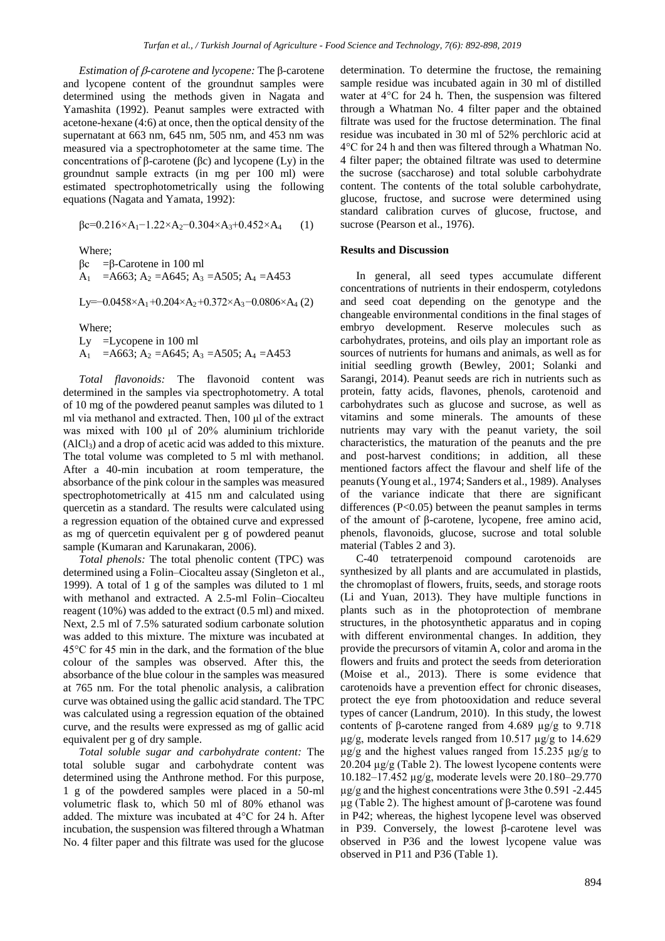*Estimation of -carotene and lycopene:* The β-carotene and lycopene content of the groundnut samples were determined using the methods given in Nagata and Yamashita (1992). Peanut samples were extracted with acetone-hexane (4:6) at once, then the optical density of the supernatant at 663 nm, 645 nm, 505 nm, and 453 nm was measured via a spectrophotometer at the same time. The concentrations of β-carotene (βc) and lycopene (Ly) in the groundnut sample extracts (in mg per 100 ml) were estimated spectrophotometrically using the following equations (Nagata and Yamata, 1992):

$$
\beta c = 0.216 \times A_1 - 1.22 \times A_2 - 0.304 \times A_3 + 0.452 \times A_4 \tag{1}
$$

Where;

βc =β-Carotene in 100 ml

$$
A_1 = A663
$$
;  $A_2 = A645$ ;  $A_3 = A505$ ;  $A_4 = A453$ 

$$
Ly=-0.0458\times A_1+0.204\times A_2+0.372\times A_3-0.0806\times A_4(2)
$$

Where;

Ly =Lycopene in 100 ml

A<sub>1</sub> = A663; A<sub>2</sub> = A645; A<sub>3</sub> = A505; A<sub>4</sub> = A453

*Total flavonoids:* The flavonoid content was determined in the samples via spectrophotometry. A total of 10 mg of the powdered peanut samples was diluted to 1 ml via methanol and extracted. Then, 100 μl of the extract was mixed with 100 μl of 20% aluminium trichloride (AlCl3) and a drop of acetic acid was added to this mixture. The total volume was completed to 5 ml with methanol. After a 40-min incubation at room temperature, the absorbance of the pink colour in the samples was measured spectrophotometrically at 415 nm and calculated using quercetin as a standard. The results were calculated using a regression equation of the obtained curve and expressed as mg of quercetin equivalent per g of powdered peanut sample (Kumaran and Karunakaran, 2006).

*Total phenols:* The total phenolic content (TPC) was determined using a Folin–Ciocalteu assay (Singleton et al., 1999). A total of 1 g of the samples was diluted to 1 ml with methanol and extracted. A 2.5-ml Folin–Ciocalteu reagent (10%) was added to the extract (0.5 ml) and mixed. Next, 2.5 ml of 7.5% saturated sodium carbonate solution was added to this mixture. The mixture was incubated at 45°C for 45 min in the dark, and the formation of the blue colour of the samples was observed. After this, the absorbance of the blue colour in the samples was measured at 765 nm. For the total phenolic analysis, a calibration curve was obtained using the gallic acid standard. The TPC was calculated using a regression equation of the obtained curve, and the results were expressed as mg of gallic acid equivalent per g of dry sample.

*Total soluble sugar and carbohydrate content:* The total soluble sugar and carbohydrate content was determined using the Anthrone method. For this purpose, 1 g of the powdered samples were placed in a 50-ml volumetric flask to, which 50 ml of 80% ethanol was added. The mixture was incubated at 4°C for 24 h. After incubation, the suspension was filtered through a Whatman No. 4 filter paper and this filtrate was used for the glucose determination. To determine the fructose, the remaining sample residue was incubated again in 30 ml of distilled water at 4°C for 24 h. Then, the suspension was filtered through a Whatman No. 4 filter paper and the obtained filtrate was used for the fructose determination. The final residue was incubated in 30 ml of 52% perchloric acid at 4°C for 24 h and then was filtered through a Whatman No. 4 filter paper; the obtained filtrate was used to determine the sucrose (saccharose) and total soluble carbohydrate content. The contents of the total soluble carbohydrate, glucose, fructose, and sucrose were determined using standard calibration curves of glucose, fructose, and sucrose (Pearson et al., 1976).

#### **Results and Discussion**

In general, all seed types accumulate different concentrations of nutrients in their endosperm, cotyledons and seed coat depending on the genotype and the changeable environmental conditions in the final stages of embryo development. Reserve molecules such as carbohydrates, proteins, and oils play an important role as sources of nutrients for humans and animals, as well as for initial seedling growth (Bewley, 2001; Solanki and Sarangi, 2014). Peanut seeds are rich in nutrients such as protein, fatty acids, flavones, phenols, carotenoid and carbohydrates such as glucose and sucrose, as well as vitamins and some minerals. The amounts of these nutrients may vary with the peanut variety, the soil characteristics, the maturation of the peanuts and the pre and post-harvest conditions; in addition, all these mentioned factors affect the flavour and shelf life of the peanuts (Young et al., 1974; Sanders et al., 1989). Analyses of the variance indicate that there are significant differences  $(P<0.05)$  between the peanut samples in terms of the amount of β-carotene, lycopene, free amino acid, phenols, flavonoids, glucose, sucrose and total soluble material (Tables 2 and 3).

C-40 tetraterpenoid compound carotenoids are synthesized by all plants and are accumulated in plastids, the chromoplast of flowers, fruits, seeds, and storage roots (Li and Yuan, 2013). They have multiple functions in plants such as in the photoprotection of membrane structures, in the photosynthetic apparatus and in coping with different environmental changes. In addition, they provide the precursors of vitamin A, color and aroma in the flowers and fruits and protect the seeds from deterioration (Moise et al., 2013). There is some evidence that carotenoids have a prevention effect for chronic diseases, protect the eye from photooxidation and reduce several types of cancer (Landrum, 2010). In this study, the lowest contents of β-carotene ranged from 4.689 µg/g to 9.718  $\mu$ g/g, moderate levels ranged from 10.517  $\mu$ g/g to 14.629  $\mu$ g/g and the highest values ranged from 15.235  $\mu$ g/g to 20.204 µg/g (Table 2). The lowest lycopene contents were 10.182–17.452 µg/g, moderate levels were 20.180–29.770  $\mu$ g/g and the highest concentrations were 3the 0.591 -2.445 µg (Table 2). The highest amount of β-carotene was found in P42; whereas, the highest lycopene level was observed in P39. Conversely, the lowest β-carotene level was observed in P36 and the lowest lycopene value was observed in P11 and P36 (Table 1).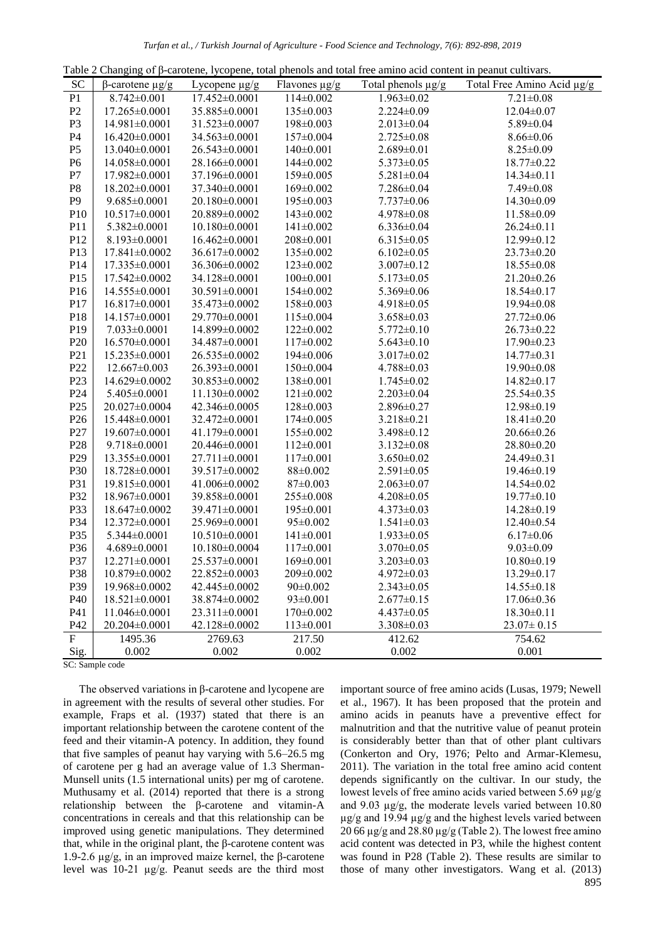| Total phenols $\mu$ g/g<br><b>SC</b><br>$\beta$ -carotene $\mu$ g/g<br>Lycopene $\mu$ g/g<br>Flavones $\mu$ g/g<br>$1.963 \pm 0.02$<br>P <sub>1</sub><br>$8.742 \pm 0.001$<br>17.452±0.0001<br>$114 \pm 0.002$<br>P2<br>$2.224 \pm 0.09$<br>17.265±0.0001<br>35.885±0.0001<br>135±0.003<br>P <sub>3</sub><br>198±0.003<br>14.981±0.0001<br>31.523±0.0007<br>$2.013 \pm 0.04$<br>157±0.004<br>$2.725 \pm 0.08$<br>P4<br>$16.420\pm0.0001$<br>34.563±0.0001<br>P <sub>5</sub><br>$140 \pm 0.001$<br>$13.040\pm0.0001$<br>26.543±0.0001<br>$2.689 \pm 0.01$<br>P <sub>6</sub><br>14.058±0.0001<br>28.166±0.0001<br>$144\pm0.002$<br>$5.373 \pm 0.05$<br>P7<br>17.982±0.0001<br>37.196±0.0001<br>159±0.005<br>$5.281 \pm 0.04$<br>P8<br>37.340±0.0001<br>169±0.002<br>7.286±0.04<br>$18.202 \pm 0.0001$<br>P <sub>9</sub><br>$9.685 \pm 0.0001$<br>20.180±0.0001<br>195±0.003<br>$7.737 \pm 0.06$<br>P10<br>$10.517 \pm 0.0001$<br>20.889±0.0002<br>143±0.002<br>$4.978 \pm 0.08$<br>P11<br>$10.180\pm0.0001$<br>$141 \pm 0.002$<br>$6.336 \pm 0.04$<br>$5.382 \pm 0.0001$ | Total Free Amino Acid µg/g<br>$7.21 \pm 0.08$<br>$12.04 \pm 0.07$<br>$5.89 \pm 0.04$<br>$8.66 \pm 0.06$<br>$8.25 \pm 0.09$<br>18.77±0.22<br>$14.34 \pm 0.11$<br>$7.49 \pm 0.08$<br>14.30±0.09<br>11.58±0.09<br>$26.24 \pm 0.11$<br>12.99±0.12 |
|------------------------------------------------------------------------------------------------------------------------------------------------------------------------------------------------------------------------------------------------------------------------------------------------------------------------------------------------------------------------------------------------------------------------------------------------------------------------------------------------------------------------------------------------------------------------------------------------------------------------------------------------------------------------------------------------------------------------------------------------------------------------------------------------------------------------------------------------------------------------------------------------------------------------------------------------------------------------------------------------------------------------------------------------------------------------|-----------------------------------------------------------------------------------------------------------------------------------------------------------------------------------------------------------------------------------------------|
|                                                                                                                                                                                                                                                                                                                                                                                                                                                                                                                                                                                                                                                                                                                                                                                                                                                                                                                                                                                                                                                                        |                                                                                                                                                                                                                                               |
|                                                                                                                                                                                                                                                                                                                                                                                                                                                                                                                                                                                                                                                                                                                                                                                                                                                                                                                                                                                                                                                                        |                                                                                                                                                                                                                                               |
|                                                                                                                                                                                                                                                                                                                                                                                                                                                                                                                                                                                                                                                                                                                                                                                                                                                                                                                                                                                                                                                                        |                                                                                                                                                                                                                                               |
|                                                                                                                                                                                                                                                                                                                                                                                                                                                                                                                                                                                                                                                                                                                                                                                                                                                                                                                                                                                                                                                                        |                                                                                                                                                                                                                                               |
|                                                                                                                                                                                                                                                                                                                                                                                                                                                                                                                                                                                                                                                                                                                                                                                                                                                                                                                                                                                                                                                                        |                                                                                                                                                                                                                                               |
|                                                                                                                                                                                                                                                                                                                                                                                                                                                                                                                                                                                                                                                                                                                                                                                                                                                                                                                                                                                                                                                                        |                                                                                                                                                                                                                                               |
|                                                                                                                                                                                                                                                                                                                                                                                                                                                                                                                                                                                                                                                                                                                                                                                                                                                                                                                                                                                                                                                                        |                                                                                                                                                                                                                                               |
|                                                                                                                                                                                                                                                                                                                                                                                                                                                                                                                                                                                                                                                                                                                                                                                                                                                                                                                                                                                                                                                                        |                                                                                                                                                                                                                                               |
|                                                                                                                                                                                                                                                                                                                                                                                                                                                                                                                                                                                                                                                                                                                                                                                                                                                                                                                                                                                                                                                                        |                                                                                                                                                                                                                                               |
|                                                                                                                                                                                                                                                                                                                                                                                                                                                                                                                                                                                                                                                                                                                                                                                                                                                                                                                                                                                                                                                                        |                                                                                                                                                                                                                                               |
|                                                                                                                                                                                                                                                                                                                                                                                                                                                                                                                                                                                                                                                                                                                                                                                                                                                                                                                                                                                                                                                                        |                                                                                                                                                                                                                                               |
|                                                                                                                                                                                                                                                                                                                                                                                                                                                                                                                                                                                                                                                                                                                                                                                                                                                                                                                                                                                                                                                                        |                                                                                                                                                                                                                                               |
| P12<br>8.193±0.0001<br>$16.462 \pm 0.0001$<br>$208 \pm 0.001$<br>$6.315 \pm 0.05$                                                                                                                                                                                                                                                                                                                                                                                                                                                                                                                                                                                                                                                                                                                                                                                                                                                                                                                                                                                      |                                                                                                                                                                                                                                               |
| P13<br>17.841±0.0002<br>36.617±0.0002<br>135±0.002<br>$6.102 \pm 0.05$                                                                                                                                                                                                                                                                                                                                                                                                                                                                                                                                                                                                                                                                                                                                                                                                                                                                                                                                                                                                 | $23.73 \pm 0.20$                                                                                                                                                                                                                              |
| P14<br>17.335±0.0001<br>36.306±0.0002<br>123±0.002<br>$3.007 \pm 0.12$                                                                                                                                                                                                                                                                                                                                                                                                                                                                                                                                                                                                                                                                                                                                                                                                                                                                                                                                                                                                 | 18.55±0.08                                                                                                                                                                                                                                    |
| P15<br>17.542±0.0002<br>34.128±0.0001<br>$100 \pm 0.001$<br>$5.173 \pm 0.05$                                                                                                                                                                                                                                                                                                                                                                                                                                                                                                                                                                                                                                                                                                                                                                                                                                                                                                                                                                                           | $21.20 \pm 0.26$                                                                                                                                                                                                                              |
| P16<br>14.555±0.0001<br>30.591±0.0001<br>154±0.002<br>5.369±0.06                                                                                                                                                                                                                                                                                                                                                                                                                                                                                                                                                                                                                                                                                                                                                                                                                                                                                                                                                                                                       | $18.54 \pm 0.17$                                                                                                                                                                                                                              |
| 158±0.003<br>P17<br>$16.817\pm0.0001$<br>35.473±0.0002<br>$4.918 \pm 0.05$                                                                                                                                                                                                                                                                                                                                                                                                                                                                                                                                                                                                                                                                                                                                                                                                                                                                                                                                                                                             | 19.94±0.08                                                                                                                                                                                                                                    |
| P18<br>14.157±0.0001<br>29.770±0.0001<br>115±0.004<br>$3.658 \pm 0.03$                                                                                                                                                                                                                                                                                                                                                                                                                                                                                                                                                                                                                                                                                                                                                                                                                                                                                                                                                                                                 | 27.72±0.06                                                                                                                                                                                                                                    |
| P19<br>$7.033 \pm 0.0001$<br>14.899±0.0002<br>122±0.002<br>$5.772 \pm 0.10$                                                                                                                                                                                                                                                                                                                                                                                                                                                                                                                                                                                                                                                                                                                                                                                                                                                                                                                                                                                            | $26.73 \pm 0.22$                                                                                                                                                                                                                              |
| P <sub>20</sub><br>$16.570\pm0.0001$<br>34.487±0.0001<br>$117\pm0.002$<br>$5.643 \pm 0.10$                                                                                                                                                                                                                                                                                                                                                                                                                                                                                                                                                                                                                                                                                                                                                                                                                                                                                                                                                                             | $17.90 \pm 0.23$                                                                                                                                                                                                                              |
| P <sub>21</sub><br>15.235±0.0001<br>26.535±0.0002<br>194±0.006<br>$3.017 \pm 0.02$                                                                                                                                                                                                                                                                                                                                                                                                                                                                                                                                                                                                                                                                                                                                                                                                                                                                                                                                                                                     | $14.77 \pm 0.31$                                                                                                                                                                                                                              |
| P22<br>$12.667 \pm 0.003$<br>26.393±0.0001<br>150±0.004<br>$4.788 \pm 0.03$                                                                                                                                                                                                                                                                                                                                                                                                                                                                                                                                                                                                                                                                                                                                                                                                                                                                                                                                                                                            | 19.90±0.08                                                                                                                                                                                                                                    |
| P <sub>23</sub><br>14.629±0.0002<br>30.853±0.0002<br>138±0.001<br>$1.745 \pm 0.02$                                                                                                                                                                                                                                                                                                                                                                                                                                                                                                                                                                                                                                                                                                                                                                                                                                                                                                                                                                                     | $14.82 \pm 0.17$                                                                                                                                                                                                                              |
| P <sub>24</sub><br>5.405±0.0001<br>11.130±0.0002<br>$121 \pm 0.002$<br>$2.203 \pm 0.04$                                                                                                                                                                                                                                                                                                                                                                                                                                                                                                                                                                                                                                                                                                                                                                                                                                                                                                                                                                                | 25.54±0.35                                                                                                                                                                                                                                    |
| P <sub>25</sub><br>20.027±0.0004<br>42.346±0.0005<br>128±0.003<br>2.896±0.27                                                                                                                                                                                                                                                                                                                                                                                                                                                                                                                                                                                                                                                                                                                                                                                                                                                                                                                                                                                           | 12.98±0.19                                                                                                                                                                                                                                    |
| P <sub>26</sub><br>15.448±0.0001<br>32.472±0.0001<br>$174 \pm 0.005$<br>$3.218 \pm 0.21$                                                                                                                                                                                                                                                                                                                                                                                                                                                                                                                                                                                                                                                                                                                                                                                                                                                                                                                                                                               | $18.41 \pm 0.20$                                                                                                                                                                                                                              |
| P27<br>19.607±0.0001<br>41.179±0.0001<br>155±0.002<br>3.498±0.12                                                                                                                                                                                                                                                                                                                                                                                                                                                                                                                                                                                                                                                                                                                                                                                                                                                                                                                                                                                                       | $20.66 \pm 0.26$                                                                                                                                                                                                                              |
| P <sub>28</sub><br>$9.718 \pm 0.0001$<br>20.446±0.0001<br>$112 \pm 0.001$<br>$3.132 \pm 0.08$                                                                                                                                                                                                                                                                                                                                                                                                                                                                                                                                                                                                                                                                                                                                                                                                                                                                                                                                                                          | 28.80±0.20                                                                                                                                                                                                                                    |
| P <sub>29</sub><br>13.355±0.0001<br>27.711±0.0001<br>$117\pm0.001$<br>$3.650 \pm 0.02$                                                                                                                                                                                                                                                                                                                                                                                                                                                                                                                                                                                                                                                                                                                                                                                                                                                                                                                                                                                 | 24.49±0.31                                                                                                                                                                                                                                    |
| P30<br>18.728±0.0001<br>39.517±0.0002<br>$88 \pm 0.002$<br>$2.591 \pm 0.05$                                                                                                                                                                                                                                                                                                                                                                                                                                                                                                                                                                                                                                                                                                                                                                                                                                                                                                                                                                                            | $19.46 \pm 0.19$                                                                                                                                                                                                                              |
| P31<br>19.815±0.0001<br>41.006±0.0002<br>87±0.003<br>$2.063 \pm 0.07$                                                                                                                                                                                                                                                                                                                                                                                                                                                                                                                                                                                                                                                                                                                                                                                                                                                                                                                                                                                                  | $14.54 \pm 0.02$                                                                                                                                                                                                                              |
| P32<br>18.967±0.0001<br>39.858±0.0001<br>255±0.008<br>$4.208 \pm 0.05$                                                                                                                                                                                                                                                                                                                                                                                                                                                                                                                                                                                                                                                                                                                                                                                                                                                                                                                                                                                                 | $19.77 \pm 0.10$                                                                                                                                                                                                                              |
| P33<br>18.647±0.0002<br>39.471±0.0001<br>195±0.001<br>$4.373 \pm 0.03$                                                                                                                                                                                                                                                                                                                                                                                                                                                                                                                                                                                                                                                                                                                                                                                                                                                                                                                                                                                                 | 14.28±0.19                                                                                                                                                                                                                                    |
| P34<br>12.372±0.0001<br>25.969±0.0001<br>$95 \pm 0.002$<br>$1.541 \pm 0.03$                                                                                                                                                                                                                                                                                                                                                                                                                                                                                                                                                                                                                                                                                                                                                                                                                                                                                                                                                                                            | $12.40 \pm 0.54$                                                                                                                                                                                                                              |
| P35<br>5.344±0.0001<br>$10.510\pm0.0001$<br>$141 \pm 0.001$<br>$1.933 \pm 0.05$                                                                                                                                                                                                                                                                                                                                                                                                                                                                                                                                                                                                                                                                                                                                                                                                                                                                                                                                                                                        | $6.17 \pm 0.06$                                                                                                                                                                                                                               |
| P36<br>4.689±0.0001<br>$10.180\pm0.0004$<br>$117\pm0.001$<br>$3.070 \pm 0.05$                                                                                                                                                                                                                                                                                                                                                                                                                                                                                                                                                                                                                                                                                                                                                                                                                                                                                                                                                                                          | $9.03 \pm 0.09$                                                                                                                                                                                                                               |
| P37<br>$12.271 \pm 0.0001$<br>25.537±0.0001<br>$169 \pm 0.001$<br>$3.203 \pm 0.03$                                                                                                                                                                                                                                                                                                                                                                                                                                                                                                                                                                                                                                                                                                                                                                                                                                                                                                                                                                                     | $10.80 \pm 0.19$                                                                                                                                                                                                                              |
| P38<br>10.879±0.0002<br>22.852±0.0003<br>209±0.002<br>$4.972 \pm 0.03$                                                                                                                                                                                                                                                                                                                                                                                                                                                                                                                                                                                                                                                                                                                                                                                                                                                                                                                                                                                                 | 13.29±0.17                                                                                                                                                                                                                                    |
| P39<br>19.968±0.0002<br>42.445±0.0002<br>$90 \pm 0.002$<br>$2.343 \pm 0.05$                                                                                                                                                                                                                                                                                                                                                                                                                                                                                                                                                                                                                                                                                                                                                                                                                                                                                                                                                                                            | $14.55 \pm 0.18$                                                                                                                                                                                                                              |
| P40<br>$93 \pm 0.001$<br>$18.521 \pm 0.0001$<br>38.874±0.0002<br>$2.677 \pm 0.15$                                                                                                                                                                                                                                                                                                                                                                                                                                                                                                                                                                                                                                                                                                                                                                                                                                                                                                                                                                                      | $17.06 \pm 0.36$                                                                                                                                                                                                                              |
| P41<br>11.046±0.0001<br>23.311±0.0001<br>170±0.002<br>$4.437 \pm 0.05$                                                                                                                                                                                                                                                                                                                                                                                                                                                                                                                                                                                                                                                                                                                                                                                                                                                                                                                                                                                                 | $18.30 \pm 0.11$                                                                                                                                                                                                                              |
| P42<br>20.204±0.0001<br>42.128±0.0002<br>$113 \pm 0.001$<br>$3.308 \pm 0.03$                                                                                                                                                                                                                                                                                                                                                                                                                                                                                                                                                                                                                                                                                                                                                                                                                                                                                                                                                                                           | $23.07 \pm 0.15$                                                                                                                                                                                                                              |
| $\mathbf{F}$<br>1495.36<br>2769.63<br>217.50<br>412.62                                                                                                                                                                                                                                                                                                                                                                                                                                                                                                                                                                                                                                                                                                                                                                                                                                                                                                                                                                                                                 | 754.62                                                                                                                                                                                                                                        |
| 0.002<br>$0.002\,$<br>0.002<br>0.002<br>Sig.                                                                                                                                                                                                                                                                                                                                                                                                                                                                                                                                                                                                                                                                                                                                                                                                                                                                                                                                                                                                                           | 0.001                                                                                                                                                                                                                                         |

Table 2 Changing of β-carotene, lycopene, total phenols and total free amino acid content in peanut cultivars.

SC: Sample code

The observed variations in β-carotene and lycopene are in agreement with the results of several other studies. For example, Fraps et al. (1937) stated that there is an important relationship between the carotene content of the feed and their vitamin-A potency. In addition, they found that five samples of peanut hay varying with 5.6–26.5 mg of carotene per g had an average value of 1.3 Sherman-Munsell units (1.5 international units) per mg of carotene. Muthusamy et al. (2014) reported that there is a strong relationship between the β-carotene and vitamin-A concentrations in cereals and that this relationship can be improved using genetic manipulations. They determined that, while in the original plant, the β-carotene content was 1.9-2.6 µg/g, in an improved maize kernel, the β-carotene level was 10-21 µg/g. Peanut seeds are the third most

895 important source of free amino acids (Lusas, 1979; Newell et al., 1967). It has been proposed that the protein and amino acids in peanuts have a preventive effect for malnutrition and that the nutritive value of peanut protein is considerably better than that of other plant cultivars (Conkerton and Ory, 1976; Pelto and Armar-Klemesu, 2011). The variation in the total free amino acid content depends significantly on the cultivar. In our study, the lowest levels of free amino acids varied between 5.69 µg/g and 9.03 µg/g, the moderate levels varied between 10.80  $\mu$ g/g and 19.94  $\mu$ g/g and the highest levels varied between 20 66  $\mu$ g/g and 28.80  $\mu$ g/g (Table 2). The lowest free amino acid content was detected in P3, while the highest content was found in P28 (Table 2). These results are similar to those of many other investigators. Wang et al. (2013)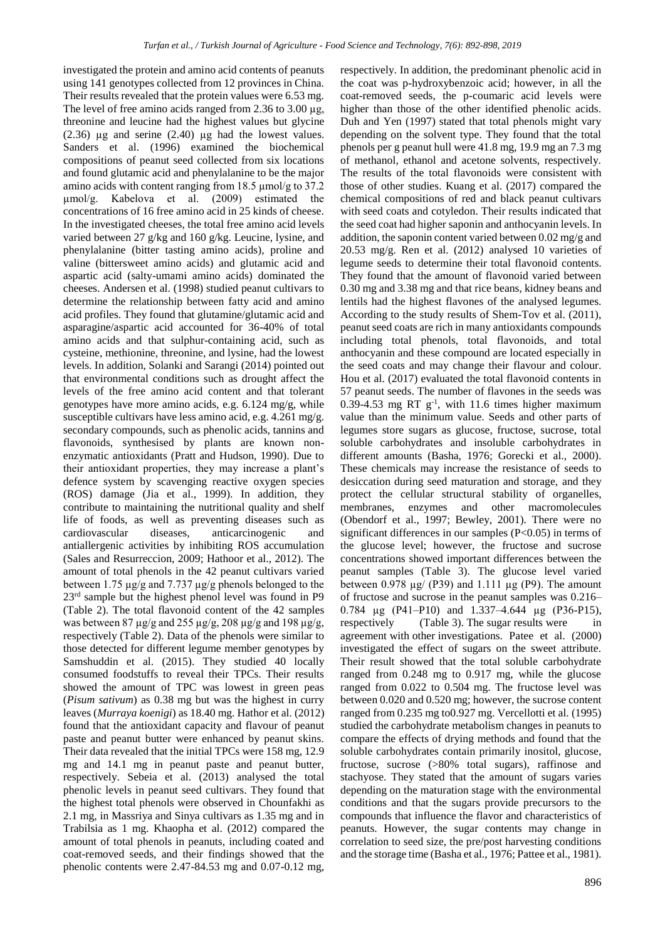investigated the protein and amino acid contents of peanuts using 141 genotypes collected from 12 provinces in China. Their results revealed that the protein values were 6.53 mg. The level of free amino acids ranged from 2.36 to 3.00 µg, threonine and leucine had the highest values but glycine  $(2.36)$  µg and serine  $(2.40)$  µg had the lowest values. Sanders et al. (1996) examined the biochemical compositions of peanut seed collected from six locations and found glutamic acid and phenylalanine to be the major amino acids with content ranging from  $18.5 \mu$ mol/g to 37.2 µmol/g. Kabelova et al. (2009) estimated the concentrations of 16 free amino acid in 25 kinds of cheese. In the investigated cheeses, the total free amino acid levels varied between 27 g/kg and 160 g/kg. Leucine, lysine, and phenylalanine (bitter tasting amino acids), proline and valine (bittersweet amino acids) and glutamic acid and aspartic acid (salty-umami amino acids) dominated the cheeses. Andersen et al. (1998) studied peanut cultivars to determine the relationship between fatty acid and amino acid profiles. They found that glutamine/glutamic acid and asparagine/aspartic acid accounted for 36-40% of total amino acids and that sulphur-containing acid, such as cysteine, methionine, threonine, and lysine, had the lowest levels. In addition, Solanki and Sarangi (2014) pointed out that environmental conditions such as drought affect the levels of the free amino acid content and that tolerant genotypes have more amino acids, e.g. 6.124 mg/g, while susceptible cultivars have less amino acid, e.g. 4.261 mg/g. secondary compounds, such as phenolic acids, tannins and flavonoids, synthesised by plants are known nonenzymatic antioxidants (Pratt and Hudson, 1990). Due to their antioxidant properties, they may increase a plant's defence system by scavenging reactive oxygen species (ROS) damage (Jia et al., 1999). In addition, they contribute to maintaining the nutritional quality and shelf life of foods, as well as preventing diseases such as cardiovascular diseases, anticarcinogenic and antiallergenic activities by inhibiting ROS accumulation (Sales and Resurreccion, 2009; Hathoor et al., 2012). The amount of total phenols in the 42 peanut cultivars varied between 1.75 µg/g and 7.737 µg/g phenols belonged to the 23rd sample but the highest phenol level was found in P9 (Table 2). The total flavonoid content of the 42 samples was between 87  $\mu$ g/g and 255  $\mu$ g/g, 208  $\mu$ g/g and 198  $\mu$ g/g, respectively (Table 2). Data of the phenols were similar to those detected for different legume member genotypes by Samshuddin et al. (2015). They studied 40 locally consumed foodstuffs to reveal their TPCs. Their results showed the amount of TPC was lowest in green peas (*Pisum sativum*) as 0.38 mg but was the highest in curry leaves (*Murraya koenigi*) as 18.40 mg. Hathor et al. (2012) found that the antioxidant capacity and flavour of peanut paste and peanut butter were enhanced by peanut skins. Their data revealed that the initial TPCs were 158 mg, 12.9 mg and 14.1 mg in peanut paste and peanut butter, respectively. Sebeia et al. (2013) analysed the total phenolic levels in peanut seed cultivars. They found that the highest total phenols were observed in Chounfakhi as 2.1 mg, in Massriya and Sinya cultivars as 1.35 mg and in Trabilsia as 1 mg. Khaopha et al. (2012) compared the amount of total phenols in peanuts, including coated and coat-removed seeds, and their findings showed that the phenolic contents were 2.47-84.53 mg and 0.07-0.12 mg, respectively. In addition, the predominant phenolic acid in the coat was p-hydroxybenzoic acid; however, in all the coat-removed seeds, the p-coumaric acid levels were higher than those of the other identified phenolic acids. Duh and Yen (1997) stated that total phenols might vary depending on the solvent type. They found that the total phenols per g peanut hull were 41.8 mg, 19.9 mg an 7.3 mg of methanol, ethanol and acetone solvents, respectively. The results of the total flavonoids were consistent with those of other studies. Kuang et al. (2017) compared the chemical compositions of red and black peanut cultivars with seed coats and cotyledon. Their results indicated that the seed coat had higher saponin and anthocyanin levels. In addition, the saponin content varied between 0.02 mg/g and 20.53 mg/g. Ren et al. (2012) analysed 10 varieties of legume seeds to determine their total flavonoid contents. They found that the amount of flavonoid varied between 0.30 mg and 3.38 mg and that rice beans, kidney beans and lentils had the highest flavones of the analysed legumes. According to the study results of Shem-Tov et al. (2011), peanut seed coats are rich in many antioxidants compounds including total phenols, total flavonoids, and total anthocyanin and these compound are located especially in the seed coats and may change their flavour and colour. Hou et al. (2017) evaluated the total flavonoid contents in 57 peanut seeds. The number of flavones in the seeds was 0.39-4.53 mg RT  $g^{-1}$ , with 11.6 times higher maximum value than the minimum value. Seeds and other parts of legumes store sugars as glucose, fructose, sucrose, total soluble carbohydrates and insoluble carbohydrates in different amounts (Basha, 1976; Gorecki et al., 2000). These chemicals may increase the resistance of seeds to desiccation during seed maturation and storage, and they protect the cellular structural stability of organelles, membranes, enzymes and other macromolecules (Obendorf et al., 1997; Bewley, 2001). There were no significant differences in our samples  $(P<0.05)$  in terms of the glucose level; however, the fructose and sucrose concentrations showed important differences between the peanut samples (Table 3). The glucose level varied between  $0.978 \mu g$  (P39) and 1.111  $\mu g$  (P9). The amount of fructose and sucrose in the peanut samples was 0.216– 0.784 µg (P41–P10) and 1.337–4.644 µg (P36-P15), respectively (Table 3). The sugar results were in agreement with other investigations. Patee et al. (2000) investigated the effect of sugars on the sweet attribute. Their result showed that the total soluble carbohydrate ranged from 0.248 mg to 0.917 mg, while the glucose ranged from 0.022 to 0.504 mg. The fructose level was between 0.020 and 0.520 mg; however, the sucrose content ranged from 0.235 mg to0.927 mg. Vercellotti et al. (1995) studied the carbohydrate metabolism changes in peanuts to compare the effects of drying methods and found that the soluble carbohydrates contain primarily inositol, glucose, fructose, sucrose (>80% total sugars), raffinose and stachyose. They stated that the amount of sugars varies depending on the maturation stage with the environmental conditions and that the sugars provide precursors to the compounds that influence the flavor and characteristics of peanuts. However, the sugar contents may change in correlation to seed size, the pre/post harvesting conditions and the storage time (Basha et al., 1976; Pattee et al., 1981).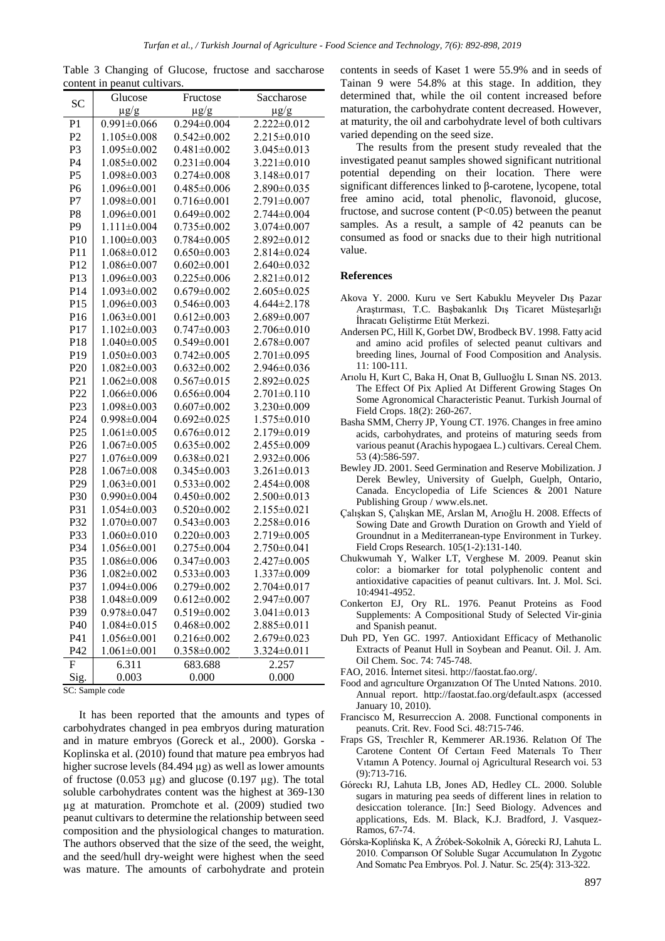Table 3 Changing of Glucose, fructose and saccharose content in peanut cultivars.

| <b>SC</b>       | Glucose           | Fructose          | Saccharose        |
|-----------------|-------------------|-------------------|-------------------|
|                 | $\mu$ g/g         | $\mu$ g/g         | $\mu$ g/g         |
| P <sub>1</sub>  | $0.991 \pm 0.066$ | $0.294 \pm 0.004$ | $2.222 \pm 0.012$ |
| P2              | $1.105 \pm 0.008$ | $0.542 \pm 0.002$ | $2.215 \pm 0.010$ |
| P <sub>3</sub>  | 1.095±0.002       | $0.481 \pm 0.002$ | $3.045 \pm 0.013$ |
| P <sub>4</sub>  | $1.085 \pm 0.002$ | $0.231 \pm 0.004$ | $3.221 \pm 0.010$ |
| P <sub>5</sub>  | 1.098±0.003       | $0.274 \pm 0.008$ | 3.148±0.017       |
| P <sub>6</sub>  | $1.096 \pm 0.001$ | $0.485 \pm 0.006$ | $2.890 \pm 0.035$ |
| P7              | $1.098 \pm 0.001$ | $0.716 \pm 0.001$ | $2.791 \pm 0.007$ |
| P <sub>8</sub>  | $1.096 \pm 0.001$ | $0.649 \pm 0.002$ | $2.744 \pm 0.004$ |
| P <sub>9</sub>  | $1.111 \pm 0.004$ | $0.735 \pm 0.002$ | $3.074 \pm 0.007$ |
| P10             | $1.100 \pm 0.003$ | $0.784 \pm 0.005$ | $2.892 \pm 0.012$ |
| P11             | $1.068 \pm 0.012$ | $0.650 \pm 0.003$ | $2.814 \pm 0.024$ |
| P <sub>12</sub> | $1.086 \pm 0.007$ | $0.602 \pm 0.001$ | $2.640 \pm 0.032$ |
| P13             | $1.096 \pm 0.003$ | $0.225 \pm 0.006$ | $2.821 \pm 0.012$ |
| P14             | $1.093 \pm 0.002$ | $0.679 \pm 0.002$ | $2.605 \pm 0.025$ |
| P <sub>15</sub> | 1.096±0.003       | $0.546 \pm 0.003$ | $4.644 \pm 2.178$ |
| P16             | $1.063 \pm 0.001$ | $0.612 \pm 0.003$ | $2.689 \pm 0.007$ |
| P17             | $1.102 \pm 0.003$ | $0.747 \pm 0.003$ | $2.706 \pm 0.010$ |
| P18             | $1.040 \pm 0.005$ | $0.549 \pm 0.001$ | $2.678 \pm 0.007$ |
| P19             | $1.050 \pm 0.003$ | $0.742 \pm 0.005$ | $2.701 \pm 0.095$ |
| P <sub>20</sub> | $1.082 \pm 0.003$ | $0.632 \pm 0.002$ | 2.946±0.036       |
| P <sub>21</sub> | $1.062 \pm 0.008$ | $0.567 \pm 0.015$ | $2.892 \pm 0.025$ |
| P <sub>22</sub> | $1.066 \pm 0.006$ | $0.656 \pm 0.004$ | $2.701 \pm 0.110$ |
| P <sub>23</sub> | 1.098±0.003       | $0.607 \pm 0.002$ | 3.230±0.009       |
| P <sub>24</sub> | $0.998 \pm 0.004$ | $0.692 \pm 0.025$ | $1.575 \pm 0.010$ |
| P <sub>25</sub> | $1.061 \pm 0.005$ | $0.676 \pm 0.012$ | 2.179±0.019       |
| P <sub>26</sub> | $1.067 \pm 0.005$ | $0.635 \pm 0.002$ | 2.455±0.009       |
| P27             | $1.076 \pm 0.009$ | $0.638 \pm 0.021$ | 2.932±0.006       |
| P <sub>28</sub> | $1.067 \pm 0.008$ | $0.345 \pm 0.003$ | $3.261 \pm 0.013$ |
| P <sub>29</sub> | $1.063 \pm 0.001$ | $0.533 \pm 0.002$ | $2.454 \pm 0.008$ |
| P30             | $0.990 \pm 0.004$ | $0.450 \pm 0.002$ | $2.500 \pm 0.013$ |
| P31             | $1.054 \pm 0.003$ | $0.520 \pm 0.002$ | 2.155±0.021       |
| P32             | $1.070 \pm 0.007$ | $0.543 \pm 0.003$ | 2.258±0.016       |
| P33             | $1.060 \pm 0.010$ | $0.220 \pm 0.003$ | 2.719±0.005       |
| P34             | $1.056 \pm 0.001$ | $0.275 \pm 0.004$ | 2.750±0.041       |
| P35             | 1.086±0.006       | $0.347 \pm 0.003$ | $2.427 \pm 0.005$ |
| P36             | $1.082 \pm 0.002$ | $0.533 \pm 0.003$ | 1.337±0.009       |
| P37             | $1.094 \pm 0.006$ | $0.279 \pm 0.002$ | $2.704 \pm 0.017$ |
| P38             | $1.048 \pm 0.009$ | $0.612 \pm 0.002$ | 2.947±0.007       |
| P39             | $0.978 \pm 0.047$ | $0.519 \pm 0.002$ | $3.041 \pm 0.013$ |
| P40             | $1.084 \pm 0.015$ | $0.468 \pm 0.002$ | $2.885 \pm 0.011$ |
| P41             | $1.056 \pm 0.001$ | $0.216 \pm 0.002$ | $2.679 \pm 0.023$ |
| P42             | $1.061 \pm 0.001$ | $0.358 \pm 0.002$ | 3.324±0.011       |
| F               | 6.311             | 683.688           | 2.257             |
| Sig.            | 0.003             | 0.000             | 0.000             |

SC: Sample code

It has been reported that the amounts and types of carbohydrates changed in pea embryos during maturation and in mature embryos (Goreck et al., 2000). Gorska - Koplinska et al. (2010) found that mature pea embryos had higher sucrose levels (84.494 µg) as well as lower amounts of fructose (0.053  $\mu$ g) and glucose (0.197  $\mu$ g). The total soluble carbohydrates content was the highest at 369-130 µg at maturation. Promchote et al. (2009) studied two peanut cultivars to determine the relationship between seed composition and the physiological changes to maturation. The authors observed that the size of the seed, the weight, and the seed/hull dry-weight were highest when the seed was mature. The amounts of carbohydrate and protein contents in seeds of Kaset 1 were 55.9% and in seeds of Tainan 9 were 54.8% at this stage. In addition, they determined that, while the oil content increased before maturation, the carbohydrate content decreased. However, at maturity, the oil and carbohydrate level of both cultivars varied depending on the seed size.

The results from the present study revealed that the investigated peanut samples showed significant nutritional potential depending on their location. There were significant differences linked to β-carotene, lycopene, total free amino acid, total phenolic, flavonoid, glucose, fructose, and sucrose content  $(P<0.05)$  between the peanut samples. As a result, a sample of 42 peanuts can be consumed as food or snacks due to their high nutritional value.

#### **References**

- Akova Y. 2000. Kuru ve Sert Kabuklu Meyveler Dış Pazar Araştırması, T.C. Başbakanlık Dış Ticaret Müsteşarlığı İhracatı Geliştirme Etüt Merkezi.
- Andersen PC, Hill K, Gorbet DW, Brodbeck BV. 1998. Fatty acid and amino acid profiles of selected peanut cultivars and breeding lines, Journal of Food Composition and Analysis. 11: 100-111.
- Arıolu H, Kurt C, Baka H, Onat B, Gulluoğlu L Sınan NS. 2013. The Effect Of Pix Aplied At Different Growing Stages On Some Agronomical Characteristic Peanut. Turkish Journal of Field Crops. 18(2): 260-267.
- Basha SMM, Cherry JP, Young CT. 1976. Changes in free amino acids, carbohydrates, and proteins of maturing seeds from various peanut (Arachis hypogaea L.) cultivars. Cereal Chem. 53 (4):586-597.
- Bewley JD. 2001. Seed Germination and Reserve Mobilization. J Derek Bewley, University of Guelph, Guelph, Ontario, Canada. Encyclopedia of Life Sciences & 2001 Nature Publishing Group / www.els.net.
- Çalışkan S, Çalışkan ME, Arslan M, Arıoğlu H. 2008. Effects of Sowing Date and Growth Duration on Growth and Yield of Groundnut in a Mediterranean-type Environment in Turkey. Field Crops Research. 105(1-2):131-140.
- Chukwumah Y, Walker LT, Verghese M. 2009. Peanut skin color: a biomarker for total polyphenolic content and antioxidative capacities of peanut cultivars. Int. J. Mol. Sci. 10:4941-4952.
- Conkerton EJ, Ory RL. 1976. Peanut Proteins as Food Supplements: A Compositional Study of Selected Vir-ginia and Spanish peanut.
- Duh PD, Yen GC. 1997. Antioxidant Efficacy of Methanolic Extracts of Peanut Hull in Soybean and Peanut. Oil. J. Am. Oil Chem. Soc. 74: 745-748.
- FAO, 2016. İnternet sitesi. http://faostat.fao.org/.
- Food and agrıculture Organızatıon Of The Unıted Natıons. 2010. Annual report. http://faostat.fao.org/default.aspx (accessed January 10, 2010).
- Francisco M, Resurreccion A. 2008. Functional components in peanuts. Crit. Rev. Food Sci. 48:715-746.
- Fraps GS, Treıchler R, Kemmerer AR.1936. Relatıon Of The Carotene Content Of Certaın Feed Materıals To Theır Vıtamın A Potency. Journal oj Agricultural Research voi. 53 (9):713-716.
- Góreckı RJ, Lahuta LB, Jones AD, Hedley CL. 2000. Soluble sugars in maturing pea seeds of different lines in relation to desiccation tolerance. [In:] Seed Biology. Advences and applications, Eds. M. Black, K.J. Bradford, J. Vasquez-Ramos, 67-74.
- Górska-Koplińska K, A Źróbek-Sokolnik A, Górecki RJ, Lahuta L. 2010. Comparıson Of Soluble Sugar Accumulatıon In Zygotıc And Somatıc Pea Embryos. Pol. J. Natur. Sc. 25(4): 313-322.